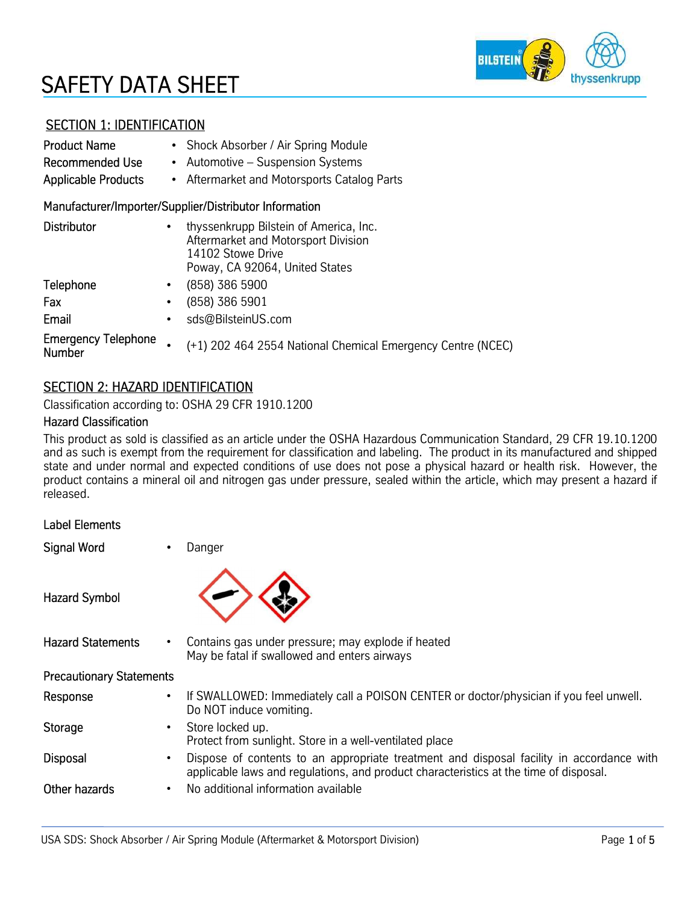# SAFETY DATA SHEET



# SECTION 1: IDENTIFICATION

| <b>Product Name</b><br><b>Recommended Use</b><br><b>Applicable Products</b> | • Shock Absorber / Air Spring Module<br>Automotive – Suspension Systems<br>$\bullet$<br>Aftermarket and Motorsports Catalog Parts<br>$\bullet$ |  |  |  |
|-----------------------------------------------------------------------------|------------------------------------------------------------------------------------------------------------------------------------------------|--|--|--|
|                                                                             | Manufacturer/Importer/Supplier/Distributor Information                                                                                         |  |  |  |
| <b>Distributor</b>                                                          | thyssenkrupp Bilstein of America, Inc.<br>Aftermarket and Motorsport Division<br>14102 Stowe Drive<br>Poway, CA 92064, United States           |  |  |  |
| Telephone                                                                   | (858) 386 5900<br>$\bullet$                                                                                                                    |  |  |  |
| Fax                                                                         | (858) 386 5901                                                                                                                                 |  |  |  |
| Email                                                                       | sds@BilsteinUS.com<br>٠                                                                                                                        |  |  |  |
| <b>Emergency Telephone</b><br><b>Number</b>                                 | (+1) 202 464 2554 National Chemical Emergency Centre (NCEC)                                                                                    |  |  |  |

### SECTION 2: HAZARD IDENTIFICATION

Classification according to: OSHA 29 CFR 1910.1200

#### Hazard Classification

This product as sold is classified as an article under the OSHA Hazardous Communication Standard, 29 CFR 19.10.1200 and as such is exempt from the requirement for classification and labeling. The product in its manufactured and shipped state and under normal and expected conditions of use does not pose a physical hazard or health risk. However, the product contains a mineral oil and nitrogen gas under pressure, sealed within the article, which may present a hazard if released.

| <b>Label Elements</b>           |                                                                                                                                                                                   |
|---------------------------------|-----------------------------------------------------------------------------------------------------------------------------------------------------------------------------------|
| <b>Signal Word</b>              | Danger                                                                                                                                                                            |
| <b>Hazard Symbol</b>            |                                                                                                                                                                                   |
| <b>Hazard Statements</b>        | Contains gas under pressure; may explode if heated<br>May be fatal if swallowed and enters airways                                                                                |
| <b>Precautionary Statements</b> |                                                                                                                                                                                   |
| Response                        | If SWALLOWED: Immediately call a POISON CENTER or doctor/physician if you feel unwell.<br>Do NOT induce vomiting.                                                                 |
| <b>Storage</b>                  | Store locked up.<br>Protect from sunlight. Store in a well-ventilated place                                                                                                       |
| <b>Disposal</b>                 | Dispose of contents to an appropriate treatment and disposal facility in accordance with<br>applicable laws and regulations, and product characteristics at the time of disposal. |
| Other hazards                   | No additional information available                                                                                                                                               |
|                                 |                                                                                                                                                                                   |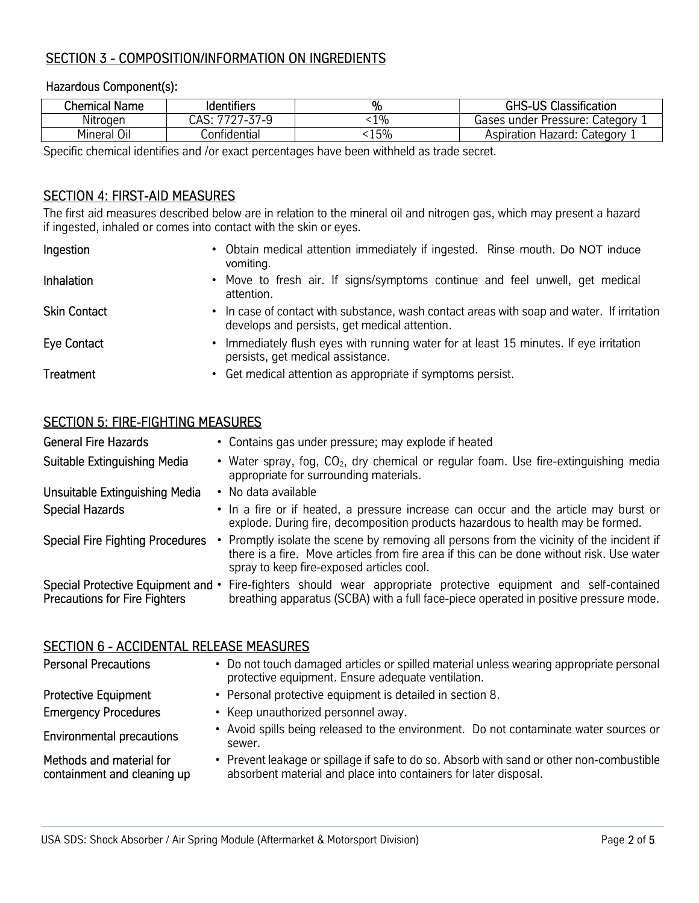# SECTION 3 - COMPOSITION/INFORMATION ON INGREDIENTS

#### Hazardous Component(s):

| <b>Chemical Name</b> | <b>Identifiers</b> | %     | <b>GHS-US Classification</b>   |
|----------------------|--------------------|-------|--------------------------------|
| Nitrogen             | 7727-37-9<br>CAS:  | $1\%$ | Gases under Pressure: Category |
| Mineral Oil          | Confidential       | 15%   | Aspiration Hazard: Category    |

Specific chemical identifies and /or exact percentages have been withheld as trade secret.

# SECTION 4: FIRST-AID MEASURES

The first aid measures described below are in relation to the mineral oil and nitrogen gas, which may present a hazard if ingested, inhaled or comes into contact with the skin or eyes.

| Ingestion           | • Obtain medical attention immediately if ingested. Rinse mouth. Do NOT induce<br>vomiting.                                                 |
|---------------------|---------------------------------------------------------------------------------------------------------------------------------------------|
| <b>Inhalation</b>   | • Move to fresh air. If signs/symptoms continue and feel unwell, get medical<br>attention.                                                  |
| <b>Skin Contact</b> | • In case of contact with substance, wash contact areas with soap and water. If irritation<br>develops and persists, get medical attention. |
| Eye Contact         | • Immediately flush eyes with running water for at least 15 minutes. If eye irritation<br>persists, get medical assistance.                 |
| <b>Treatment</b>    | • Get medical attention as appropriate if symptoms persist.                                                                                 |

### SECTION 5: FIRE-FIGHTING MEASURES

| <b>General Fire Hazards</b>                                                | • Contains gas under pressure; may explode if heated                                                                                                                                                                                |
|----------------------------------------------------------------------------|-------------------------------------------------------------------------------------------------------------------------------------------------------------------------------------------------------------------------------------|
| Suitable Extinguishing Media                                               | • Water spray, fog, CO <sub>2</sub> , dry chemical or regular foam. Use fire-extinguishing media<br>appropriate for surrounding materials.                                                                                          |
| Unsuitable Extinguishing Media                                             | • No data available                                                                                                                                                                                                                 |
| <b>Special Hazards</b>                                                     | • In a fire or if heated, a pressure increase can occur and the article may burst or<br>explode. During fire, decomposition products hazardous to health may be formed.                                                             |
| <b>Special Fire Fighting Procedures</b>                                    | • Promptly isolate the scene by removing all persons from the vicinity of the incident if<br>there is a fire. Move articles from fire area if this can be done without risk. Use water<br>spray to keep fire-exposed articles cool. |
| Special Protective Equipment and •<br><b>Precautions for Fire Fighters</b> | Fire-fighters should wear appropriate protective equipment and self-contained<br>breathing apparatus (SCBA) with a full face-piece operated in positive pressure mode.                                                              |

#### SECTION 6 - ACCIDENTAL RELEASE MEASURES

| <b>Personal Precautions</b>                             | • Do not touch damaged articles or spilled material unless wearing appropriate personal<br>protective equipment. Ensure adequate ventilation.                 |
|---------------------------------------------------------|---------------------------------------------------------------------------------------------------------------------------------------------------------------|
| <b>Protective Equipment</b>                             | • Personal protective equipment is detailed in section 8.                                                                                                     |
| <b>Emergency Procedures</b>                             | • Keep unauthorized personnel away.                                                                                                                           |
| <b>Environmental precautions</b>                        | • Avoid spills being released to the environment. Do not contaminate water sources or<br>sewer.                                                               |
| Methods and material for<br>containment and cleaning up | • Prevent leakage or spillage if safe to do so. Absorb with sand or other non-combustible<br>absorbent material and place into containers for later disposal. |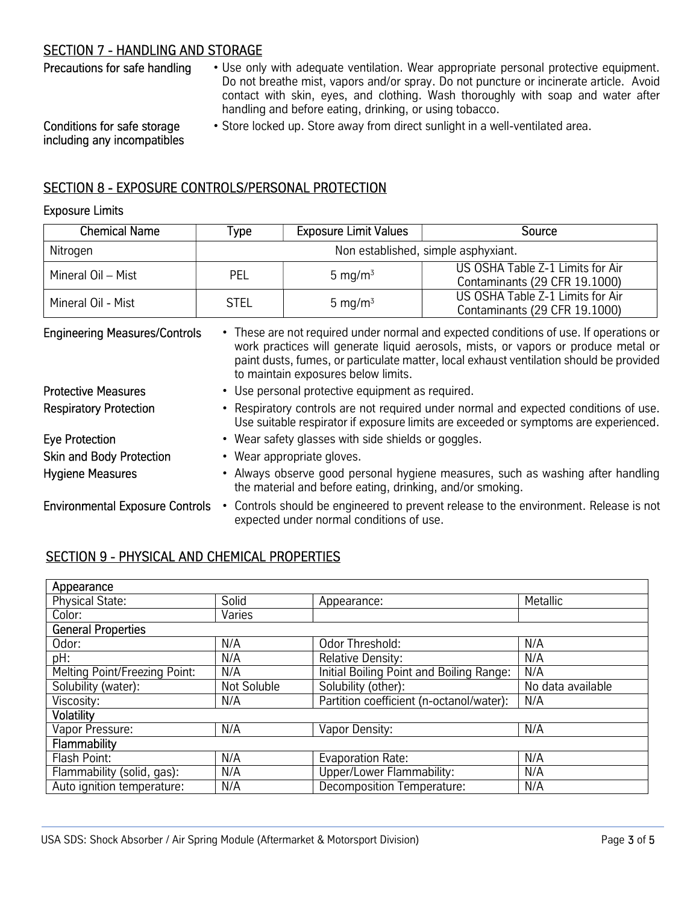# SECTION 7 - HANDLING AND STORAGE

Precautions for safe handling • Use only with adequate ventilation. Wear appropriate personal protective equipment. Do not breathe mist, vapors and/or spray. Do not puncture or incinerate article. Avoid contact with skin, eyes, and clothing. Wash thoroughly with soap and water after handling and before eating, drinking, or using tobacco.

• Store locked up. Store away from direct sunlight in a well-ventilated area.

Conditions for safe storage including any incompatibles

# SECTION 8 - EXPOSURE CONTROLS/PERSONAL PROTECTION

#### Exposure Limits

| <b>Chemical Name</b> | Type.                               | <b>Exposure Limit Values</b> | Source                                                            |
|----------------------|-------------------------------------|------------------------------|-------------------------------------------------------------------|
| Nitrogen             | Non established, simple asphyxiant. |                              |                                                                   |
| Mineral Oil - Mist   | PEL                                 | 5 mg/m $3$                   | US OSHA Table Z-1 Limits for Air<br>Contaminants (29 CFR 19.1000) |
| Mineral Oil - Mist   | <b>STEL</b>                         | 5 mg/m $3$                   | US OSHA Table Z-1 Limits for Air<br>Contaminants (29 CFR 19.1000) |

| <b>Engineering Measures/Controls</b>   | • These are not required under normal and expected conditions of use. If operations or<br>work practices will generate liquid aerosols, mists, or vapors or produce metal or<br>paint dusts, fumes, or particulate matter, local exhaust ventilation should be provided<br>to maintain exposures below limits. |
|----------------------------------------|----------------------------------------------------------------------------------------------------------------------------------------------------------------------------------------------------------------------------------------------------------------------------------------------------------------|
| <b>Protective Measures</b>             | • Use personal protective equipment as required.                                                                                                                                                                                                                                                               |
| <b>Respiratory Protection</b>          | . Respiratory controls are not required under normal and expected conditions of use.<br>Use suitable respirator if exposure limits are exceeded or symptoms are experienced.                                                                                                                                   |
| <b>Eye Protection</b>                  | • Wear safety glasses with side shields or goggles.                                                                                                                                                                                                                                                            |
| <b>Skin and Body Protection</b>        | • Wear appropriate gloves.                                                                                                                                                                                                                                                                                     |
| <b>Hygiene Measures</b>                | • Always observe good personal hygiene measures, such as washing after handling<br>the material and before eating, drinking, and/or smoking.                                                                                                                                                                   |
| <b>Environmental Exposure Controls</b> | • Controls should be engineered to prevent release to the environment. Release is not<br>expected under normal conditions of use.                                                                                                                                                                              |

# SECTION 9 - PHYSICAL AND CHEMICAL PROPERTIES

| Appearance                    |             |                                          |                   |
|-------------------------------|-------------|------------------------------------------|-------------------|
| <b>Physical State:</b>        | Solid       | Appearance:                              | Metallic          |
| Color:                        | Varies      |                                          |                   |
| General Properties            |             |                                          |                   |
| Odor:                         | N/A         | Odor Threshold:                          | N/A               |
| pH:                           | N/A         | <b>Relative Density:</b>                 | N/A               |
| Melting Point/Freezing Point: | N/A         | Initial Boiling Point and Boiling Range: | N/A               |
| Solubility (water):           | Not Soluble | Solubility (other):                      | No data available |
| Viscosity:                    | N/A         | Partition coefficient (n-octanol/water): | N/A               |
| Volatility                    |             |                                          |                   |
| Vapor Pressure:               | N/A         | Vapor Density:                           | N/A               |
| <b>Flammability</b>           |             |                                          |                   |
| Flash Point:                  | N/A         | Evaporation Rate:                        | N/A               |
| Flammability (solid, gas):    | N/A         | Upper/Lower Flammability:                | N/A               |
| Auto ignition temperature:    | N/A         | Decomposition Temperature:               | N/A               |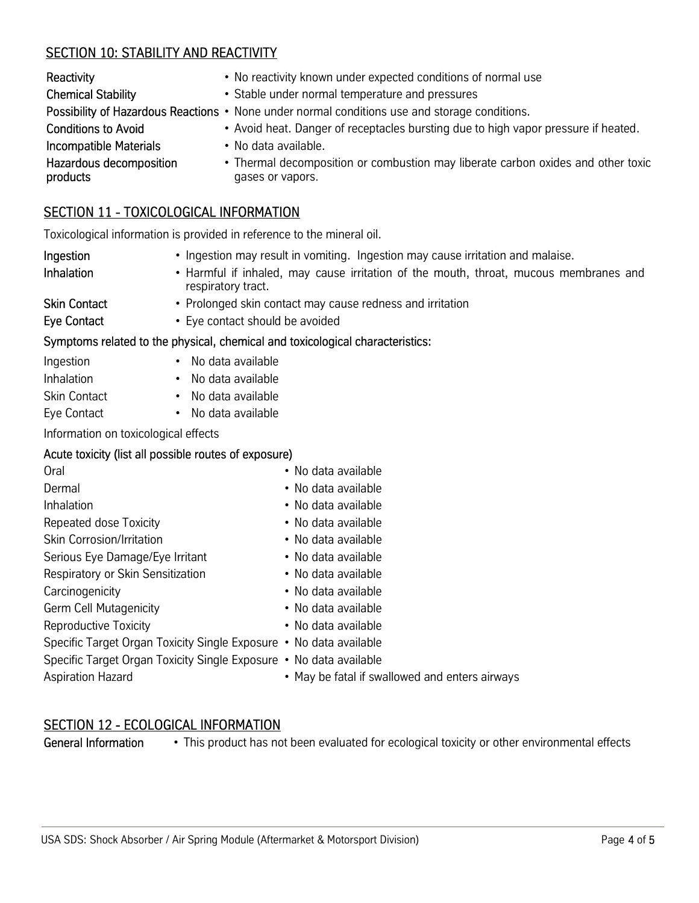# SECTION 10: STABILITY AND REACTIVITY

| Reactivity                          | • No reactivity known under expected conditions of normal use                                        |
|-------------------------------------|------------------------------------------------------------------------------------------------------|
| <b>Chemical Stability</b>           | • Stable under normal temperature and pressures                                                      |
|                                     | Possibility of Hazardous Reactions • None under normal conditions use and storage conditions.        |
| <b>Conditions to Avoid</b>          | • Avoid heat. Danger of receptacles bursting due to high vapor pressure if heated.                   |
| <b>Incompatible Materials</b>       | • No data available.                                                                                 |
| Hazardous decomposition<br>products | • Thermal decomposition or combustion may liberate carbon oxides and other toxic<br>gases or vapors. |

# SECTION 11 - TOXICOLOGICAL INFORMATION

Toxicological information is provided in reference to the mineral oil.

| Ingestion<br>Inhalation | • Ingestion may result in vomiting. Ingestion may cause irritation and malaise.<br>• Harmful if inhaled, may cause irritation of the mouth, throat, mucous membranes and<br>respiratory tract. |
|-------------------------|------------------------------------------------------------------------------------------------------------------------------------------------------------------------------------------------|
| <b>Skin Contact</b>     | • Prolonged skin contact may cause redness and irritation                                                                                                                                      |
| Eye Contact             | • Eye contact should be avoided                                                                                                                                                                |
|                         | Symptoms related to the physical, chemical and toxicological characteristics:                                                                                                                  |
| Ingestion               | No data available                                                                                                                                                                              |

| Ingestion    |   |
|--------------|---|
| Inhalation   |   |
| Skin Contact | ٠ |

Eye Contact • No data available

Information on toxicological effects

# Acute toxicity (list all possible routes of exposure)

| Oral                                                               | • No data available         |
|--------------------------------------------------------------------|-----------------------------|
| Dermal                                                             | • No data available         |
| Inhalation                                                         | • No data available         |
| Repeated dose Toxicity                                             | • No data available         |
| Skin Corrosion/Irritation                                          | • No data available         |
| Serious Eye Damage/Eye Irritant                                    | • No data available         |
| Respiratory or Skin Sensitization                                  | • No data available         |
| Carcinogenicity                                                    | • No data available         |
| <b>Germ Cell Mutagenicity</b>                                      | • No data available         |
| <b>Reproductive Toxicity</b>                                       | • No data available         |
| Specific Target Organ Toxicity Single Exposure • No data available |                             |
| Specific Target Organ Toxicity Single Exposure • No data available |                             |
| <b>Aspiration Hazard</b>                                           | • May be fatal if swallowed |
|                                                                    |                             |

No data available No data available

# SECTION 12 - ECOLOGICAL INFORMATION

General Information • This product has not been evaluated for ecological toxicity or other environmental effects

and enters airways